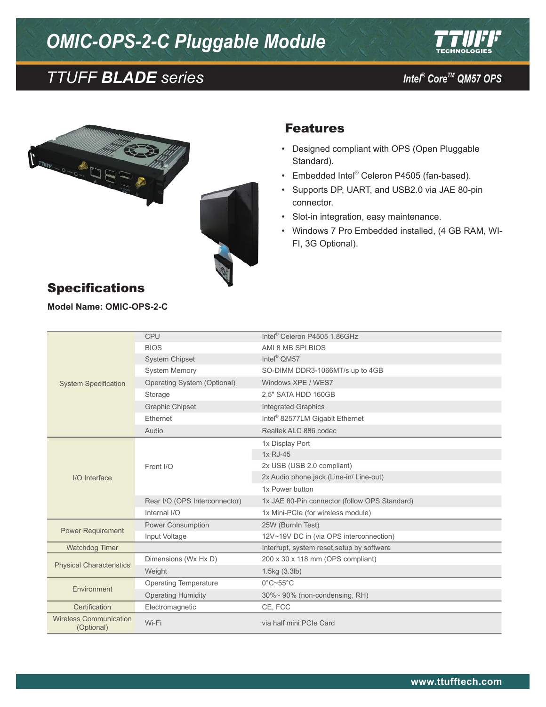## *OMIC-OPS-2-C Pluggable Module*





### Features

- • Designed compliant with OPS (Open Pluggable Standard).
- Embedded Intel® Celeron P4505 (fan-based).
- • Supports DP, UART, and USB2.0 via JAE 80-pin connector.
- • Slot-in integration, easy maintenance.
- • Windows 7 Pro Embedded installed, (4 GB RAM, WI-FI, 3G Optional).

| <b>System Specification</b>                 | <b>CPU</b>                    | Intel <sup>®</sup> Celeron P4505 1.86GHz      |
|---------------------------------------------|-------------------------------|-----------------------------------------------|
|                                             | <b>BIOS</b>                   | AMI 8 MB SPI BIOS                             |
|                                             | <b>System Chipset</b>         | Intel <sup>®</sup> QM57                       |
|                                             | <b>System Memory</b>          | SO-DIMM DDR3-1066MT/s up to 4GB               |
|                                             | Operating System (Optional)   | Windows XPE / WES7                            |
|                                             | Storage                       | 2.5" SATA HDD 160GB                           |
|                                             | <b>Graphic Chipset</b>        | <b>Integrated Graphics</b>                    |
|                                             | Ethernet                      | Intel <sup>®</sup> 82577LM Gigabit Ethernet   |
|                                             | Audio                         | Realtek ALC 886 codec                         |
| I/O Interface                               | Front I/O                     | 1x Display Port                               |
|                                             |                               | 1x RJ-45                                      |
|                                             |                               | 2x USB (USB 2.0 compliant)                    |
|                                             |                               | 2x Audio phone jack (Line-in/ Line-out)       |
|                                             |                               | 1x Power button                               |
|                                             | Rear I/O (OPS Interconnector) | 1x JAE 80-Pin connector (follow OPS Standard) |
|                                             | Internal I/O                  | 1x Mini-PCIe (for wireless module)            |
| <b>Power Requirement</b>                    | Power Consumption             | 25W (BurnIn Test)                             |
|                                             | Input Voltage                 | 12V~19V DC in (via OPS interconnection)       |
| <b>Watchdog Timer</b>                       |                               | Interrupt, system reset, setup by software    |
| <b>Physical Characteristics</b>             | Dimensions (Wx Hx D)          | 200 x 30 x 118 mm (OPS compliant)             |
|                                             | Weight                        | 1.5kg (3.3lb)                                 |
| Environment                                 | <b>Operating Temperature</b>  | $0^{\circ}$ C~55 $^{\circ}$ C                 |
|                                             | <b>Operating Humidity</b>     | 30%~ 90% (non-condensing, RH)                 |
| Certification                               | Electromagnetic               | CE, FCC                                       |
| <b>Wireless Communication</b><br>(Optional) | Wi-Fi                         | via half mini PCIe Card                       |

### Specifications

**Model Name: OMIC-OPS-2-C**